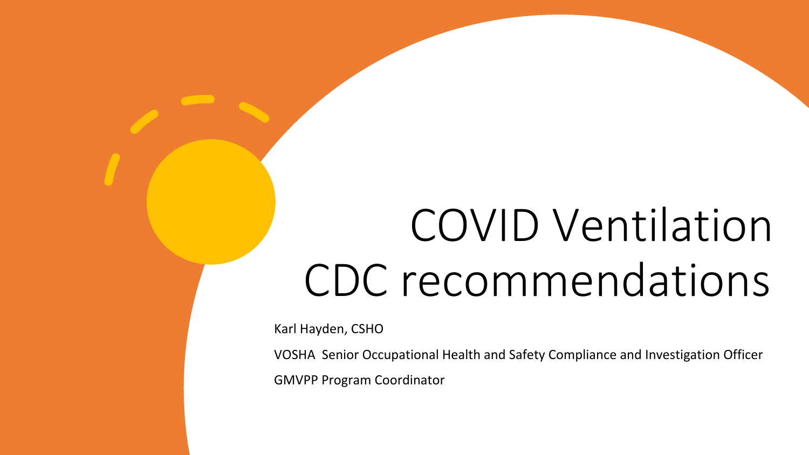# COVID Ventilation CDC recommendations

Karl Hayden, CSHO

VOSHA Senior Occupational Health and Safety Compliance and Investigation Officer

GMVPP Program Coordinator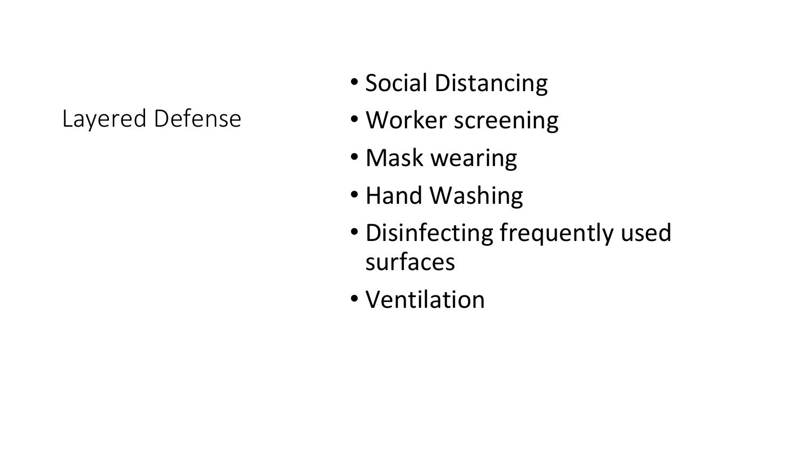#### Layered Defense

- Social Distancing
- Worker screening
- Mask wearing
- Hand Washing
- Disinfecting frequently used surfaces
- Ventilation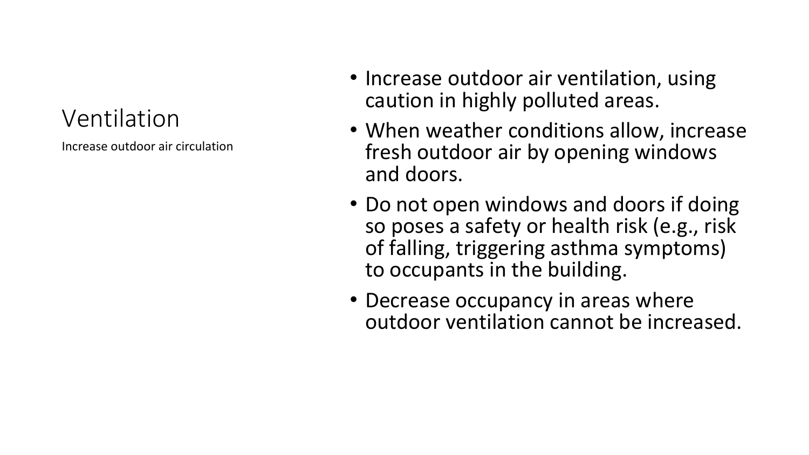### Ventilation

Increase outdoor air circulation

- Increase outdoor air ventilation, using caution in highly polluted areas.
- When weather conditions allow, increase fresh outdoor air by opening windows and doors.
- Do not open windows and doors if doing so poses a safety or health risk (e.g., risk of falling, triggering asthma symptoms) to occupants in the building.
- Decrease occupancy in areas where outdoor ventilation cannot be increased.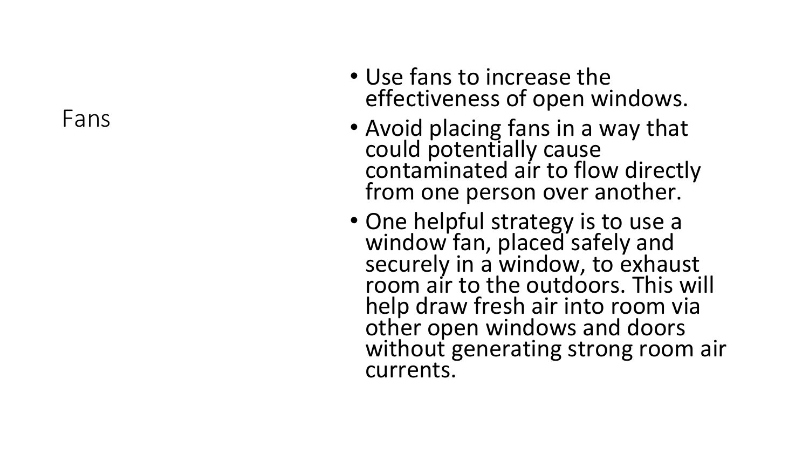Fans

- Use fans to increase the effectiveness of open windows.
- Avoid placing fans in a way that could potentially cause contaminated air to flow directly from one person over another.
- One helpful strategy is to use a window fan, placed safely and securely in a window, to exhaust room air to the outdoors. This will help draw fresh air into room via other open windows and doors without generating strong room air currents.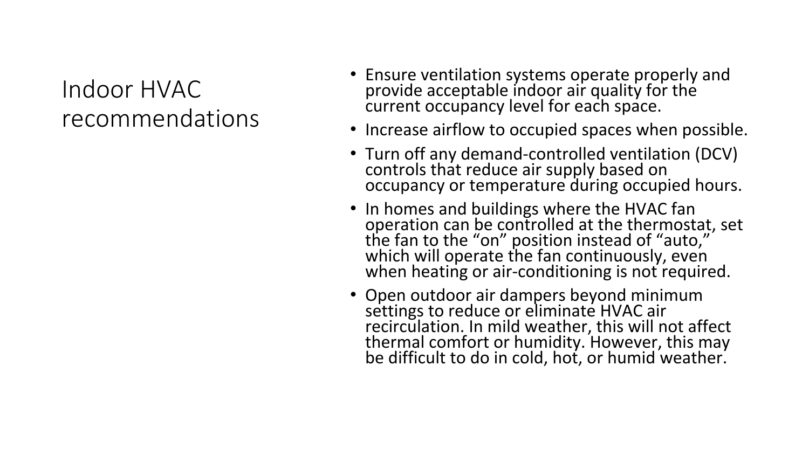### Indoor HVAC recommendations

- Ensure ventilation systems operate properly and provide acceptable indoor air quality for the current occupancy level for each space.
- Increase airflow to occupied spaces when possible.
- Turn off any demand-controlled ventilation (DCV) controls that reduce air supply based on occupancy or temperature during occupied hours.
- In homes and buildings where the HVAC fan operation can be controlled at the thermostat, set the fan to the "on" position instead of "auto," which will operate the fan continuously, even when heating or air-conditioning is not required.
- Open outdoor air dampers beyond minimum settings to reduce or eliminate HVAC air recirculation. In mild weather, this will not affect thermal comfort or humidity. However, this may be difficult to do in cold, hot, or humid weather.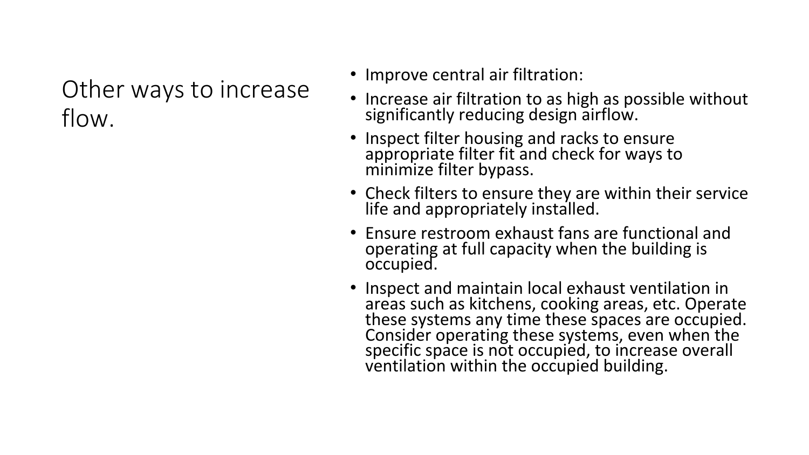Other ways to increase flow.

- Improve central air filtration:
- Increase air filtration to as high as possible without significantly reducing design airflow.
- Inspect filter housing and racks to ensure appropriate filter fit and check for ways to minimize filter bypass.
- Check filters to ensure they are within their service life and appropriately installed.
- Ensure restroom exhaust fans are functional and operating at full capacity when the building is occupied.
- Inspect and maintain local exhaust ventilation in areas such as kitchens, cooking areas, etc. Operate these systems any time these spaces are occupied. Consider operating these systems, even when the specific space is not occupied, to increase overall ventilation within the occupied building.